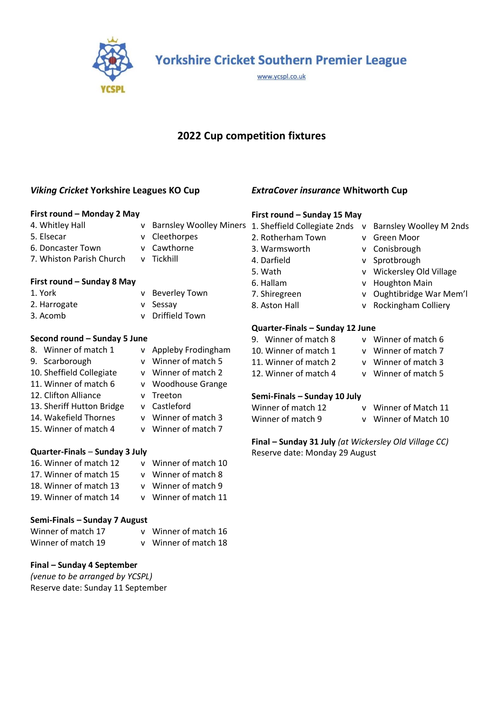

**Yorkshire Cricket Southern Premier League** 

www.ycspl.co.uk

# **2022 Cup competition fixtures**

# *Viking Cricket* **Yorkshire Leagues KO Cup**

## **First round – Monday 2 May**

- 
- 
- 
- 5. Elsecar v Cleethorpes
- 6. Doncaster Town v Cawthorne
- 7. Whiston Parish Church v Tickhill
- **First round – Sunday 8 May** 1. York v Beverley Town
- 2. Harrogate v Sessay
- 3. Acomb v Driffield Town

## **Second round – Sunday 5 June**

- 8. Winner of match 1 v Appleby Frodingham 9. Scarborough v Winner of match 5 10. Sheffield Collegiate v Winner of match 2 11. Winner of match 6 v Woodhouse Grange 12. Clifton Alliance v Treeton 13. Sheriff Hutton Bridge v Castleford 14. Wakefield Thornes v Winner of match 3 15. Winner of match 4 v Winner of match 7 **Quarter-Finals** – **Sunday 3 July** 16. Winner of match 12 v Winner of match 10
- 17. Winner of match 15 v Winner of match 8 18. Winner of match 13 v Winner of match 9 19. Winner of match 14 v Winner of match 11

## **Semi-Finals – Sunday 7 August**

| Winner of match 17 | v Winner of match 16 |
|--------------------|----------------------|
| Winner of match 19 | v Winner of match 18 |

## **Final – Sunday 4 September**

*(venue to be arranged by YCSPL)* Reserve date: Sunday 11 September

*ExtraCover insurance* **Whitworth Cup** 

#### **First round – Sunday 15 May**

- 
- 
- 
- 
- 
- 
- 
- 
- **Quarter-Finals – Sunday 12 June**
- 9. Winner of match 8 v Winner of match 6 10. Winner of match 1 v Winner of match 7 11. Winner of match 2 v Winner of match 3 12. Winner of match 4 v Winner of match 5

#### **Semi-Finals – Sunday 10 July**

- Winner of match 12 v Winner of Match 11 Winner of match 9 v Winner of Match 10
	-

**Final – Sunday 31 July** *(at Wickersley Old Village CC)* Reserve date: Monday 29 August

- 4. Whitley Hall **vict and Starnsley Woolley Miners** 1. Sheffield Collegiate 2nds v Barnsley Woolley M 2nds 2. Rotherham Town v Green Moor 3. Warmsworth v Conisbrough 4. Darfield v Sprotbrough 5. Wath v Wickersley Old Village 6. Hallam v Houghton Main 7. Shiregreen v Oughtibridge War Mem'l 8. Aston Hall v Rockingham Colliery
	-